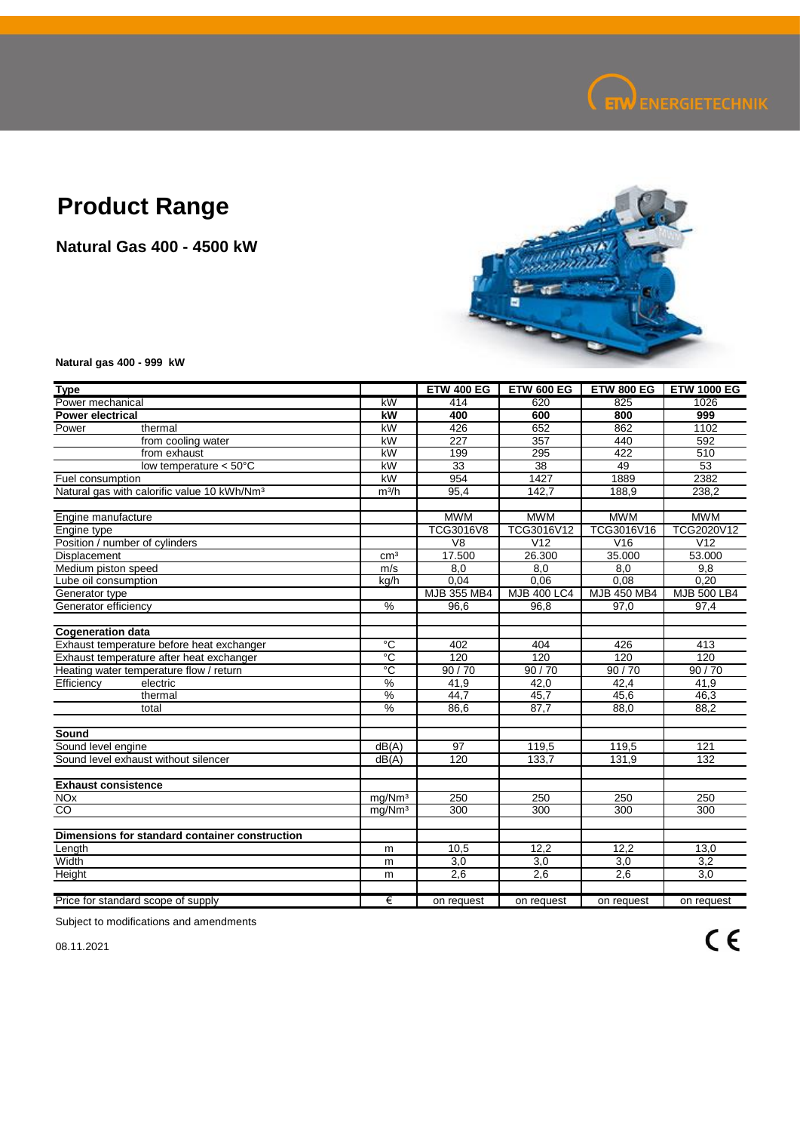

## **Product Range**

**Natural Gas 400 - 4500 kW**



**Natural gas 400 - 999 kW**

| <b>Type</b>                                             |                    | <b>ETW 400 EG</b>   | <b>ETW 600 EG</b>  | <b>ETW 800 EG</b> | <b>ETW 1000 EG</b> |
|---------------------------------------------------------|--------------------|---------------------|--------------------|-------------------|--------------------|
| Power mechanical                                        | kW                 | 414                 | 620                | 825               | 1026               |
| <b>Power electrical</b>                                 | kW                 | 400                 | 600                | 800               | 999                |
| Power<br>thermal                                        | kW                 | 426                 | 652                | 862               | 1102               |
| from cooling water                                      | kW                 | 227                 | 357                | 440               | 592                |
| from exhaust                                            | kW                 | 199                 | 295                | 422               | 510                |
| low temperature $< 50^{\circ}$ C                        | kW                 | $\overline{33}$     | 38                 | 49                | 53                 |
| Fuel consumption                                        | kW                 | 954                 | 1427               | 1889              | 2382               |
| Natural gas with calorific value 10 kWh/Nm <sup>3</sup> | m <sup>3</sup> /h  | 95,4                | 142,7              | 188,9             | 238,2              |
|                                                         |                    |                     |                    |                   |                    |
| Engine manufacture                                      |                    | <b>MWM</b>          | <b>MWM</b>         | <b>MWM</b>        | <b>MWM</b>         |
| Engine type                                             |                    | TCG3016V8           | TCG3016V12         | TCG3016V16        | TCG2020V12         |
| Position / number of cylinders                          |                    | $\overline{\vee}$ 8 | V <sub>12</sub>    | V16               | V <sub>12</sub>    |
| Displacement                                            | cm <sup>3</sup>    | 17.500              | 26.300             | 35.000            | 53.000             |
| Medium piston speed                                     | m/s                | 8.0                 | 8.0                | 8,0               | 9,8                |
| Lube oil consumption                                    | kg/h               | 0.04                | 0.06               | 0.08              | 0.20               |
| Generator type                                          |                    | MJB 355 MB4         | <b>MJB 400 LC4</b> | MJB 450 MB4       | MJB 500 LB4        |
| Generator efficiency                                    | %                  | 96,6                | 96,8               | 97,0              | 97,4               |
|                                                         |                    |                     |                    |                   |                    |
| <b>Cogeneration data</b>                                |                    |                     |                    |                   |                    |
| Exhaust temperature before heat exchanger               | $\overline{c}$     | 402                 | 404                | 426               | 413                |
| Exhaust temperature after heat exchanger                | °C                 | 120                 | 120                | 120               | 120                |
| Heating water temperature flow / return                 | ℃°                 | 90/70               | 90/70              | 90/70             | 90/70              |
| Efficiency<br>electric                                  | $\%$               | 41,9                | 42,0               | 42,4              | 41,9               |
| thermal                                                 | %                  | 44.7                | 45.7               | 45.6              | 46,3               |
| total                                                   | $\frac{0}{0}$      | 86,6                | 87,7               | 88,0              | 88,2               |
|                                                         |                    |                     |                    |                   |                    |
| Sound                                                   |                    |                     |                    |                   |                    |
| Sound level engine                                      | dB(A)              | 97                  | 119,5              | 119,5             | 121                |
| Sound level exhaust without silencer                    | dB(A)              | 120                 | 133,7              | 131,9             | 132                |
|                                                         |                    |                     |                    |                   |                    |
| <b>Exhaust consistence</b>                              |                    |                     |                    |                   |                    |
| <b>NO<sub>x</sub></b>                                   | mg/Nm <sup>3</sup> | 250                 | 250                | 250               | 250                |
| $\overline{c}$                                          | mg/Nm <sup>3</sup> | 300                 | 300                | 300               | 300                |
|                                                         |                    |                     |                    |                   |                    |
| Dimensions for standard container construction          |                    |                     |                    |                   |                    |
| Length                                                  | m                  | 10,5                | 12,2               | 12,2              | 13,0               |
| Width                                                   | m                  | 3,0                 | 3,0                | 3,0               | 3,2                |
| Height                                                  | m                  | 2,6                 | 2,6                | 2,6               | 3,0                |
|                                                         |                    |                     |                    |                   |                    |
| Price for standard scope of supply                      | €                  | on request          | on request         | on request        | on request         |

Subject to modifications and amendments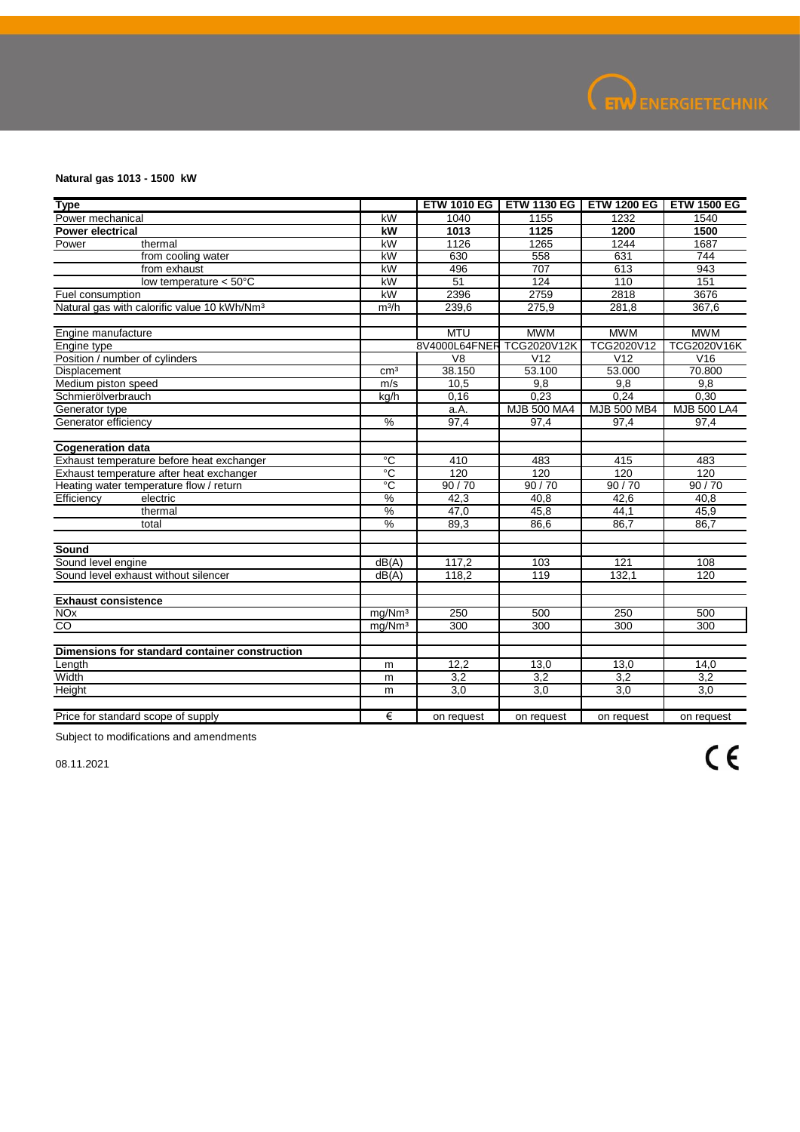

## **Natural gas 1013 - 1500 kW**

| <b>Type</b>                                             |                        |                           | <b>ETW 1010 EG   ETW 1130 EG  </b> |                 | <b>ETW 1200 EG I ETW 1500 EG</b> |
|---------------------------------------------------------|------------------------|---------------------------|------------------------------------|-----------------|----------------------------------|
| Power mechanical                                        | kW                     | 1040                      | 1155                               | 1232            | 1540                             |
| <b>Power electrical</b>                                 | kW                     | 1013                      | 1125                               | 1200            | 1500                             |
| Power<br>thermal                                        | kW                     | 1126                      | 1265                               | 1244            | 1687                             |
| from cooling water                                      | kW                     | 630                       | 558                                | 631             | 744                              |
| from exhaust                                            | kW                     | 496                       | 707                                | 613             | 943                              |
| low temperature $< 50^{\circ}$ C                        | kW                     | 51                        | 124                                | 110             | 151                              |
| Fuel consumption                                        | $\overline{\text{KW}}$ | 2396                      | 2759                               | 2818            | 3676                             |
| Natural gas with calorific value 10 kWh/Nm <sup>3</sup> | m <sup>3</sup> /h      | 239,6                     | 275,9                              | 281,8           | 367,6                            |
| Engine manufacture                                      |                        | <b>MTU</b>                | <b>MWM</b>                         | <b>MWM</b>      | <b>MWM</b>                       |
| Engine type                                             |                        | 8V4000L64FNER TCG2020V12K |                                    | TCG2020V12      | TCG2020V16K                      |
| Position / number of cylinders                          |                        | V <sub>8</sub>            | V <sub>12</sub>                    | V <sub>12</sub> | V16                              |
| Displacement                                            | cm <sup>3</sup>        | 38.150                    | 53.100                             | 53.000          | 70.800                           |
| Medium piston speed                                     | m/s                    | 10,5                      | 9,8                                | 9,8             | 9,8                              |
| Schmierölverbrauch                                      | kg/h                   | 0,16                      | 0.23                               | 0.24            | 0,30                             |
| Generator type                                          |                        | a.A.                      | <b>MJB 500 MA4</b>                 | MJB 500 MB4     | <b>MJB 500 LA4</b>               |
| Generator efficiency                                    | %                      | 97,4                      | 97,4                               | 97,4            | 97,4                             |
|                                                         |                        |                           |                                    |                 |                                  |
| <b>Cogeneration data</b>                                |                        |                           |                                    |                 |                                  |
| Exhaust temperature before heat exchanger               | $\overline{c}$         | 410                       | 483                                | 415             | 483                              |
| Exhaust temperature after heat exchanger                | ℃                      | 120                       | 120                                | 120             | 120                              |
| Heating water temperature flow / return                 | °C                     | 90/70                     | 90/70                              | 90/70           | 90/70                            |
| Efficiency<br>electric                                  | $\%$                   | 42,3                      | 40,8                               | 42,6            | 40,8                             |
| thermal                                                 | $\%$                   | 47,0                      | 45,8                               | 44,1            | 45,9                             |
| total                                                   | $\frac{0}{2}$          | 89,3                      | 86,6                               | 86.7            | 86,7                             |
| Sound                                                   |                        |                           |                                    |                 |                                  |
| Sound level engine                                      | dB(A)                  | 117,2                     | 103                                | 121             | 108                              |
| Sound level exhaust without silencer                    | dB(A)                  | 118,2                     | 119                                | 132,1           | 120                              |
|                                                         |                        |                           |                                    |                 |                                  |
| <b>Exhaust consistence</b>                              |                        |                           |                                    |                 |                                  |
| <b>NO<sub>x</sub></b>                                   | mg/Nm <sup>3</sup>     | 250                       | 500                                | 250             | 500                              |
| CO                                                      | mg/Nm <sup>3</sup>     | 300                       | 300                                | 300             | 300                              |
| Dimensions for standard container construction          |                        |                           |                                    |                 |                                  |
| Length                                                  | m                      | 12,2                      | 13,0                               | 13,0            | 14,0                             |
| Width                                                   | m                      | 3.2                       | 3.2                                | 3.2             | 3.2                              |
| Height                                                  | m                      | 3,0                       | 3,0                                | 3,0             | 3,0                              |
|                                                         |                        |                           |                                    |                 |                                  |
| Price for standard scope of supply                      | €                      | on request                | on request                         | on request      | on request                       |

Subject to modifications and amendments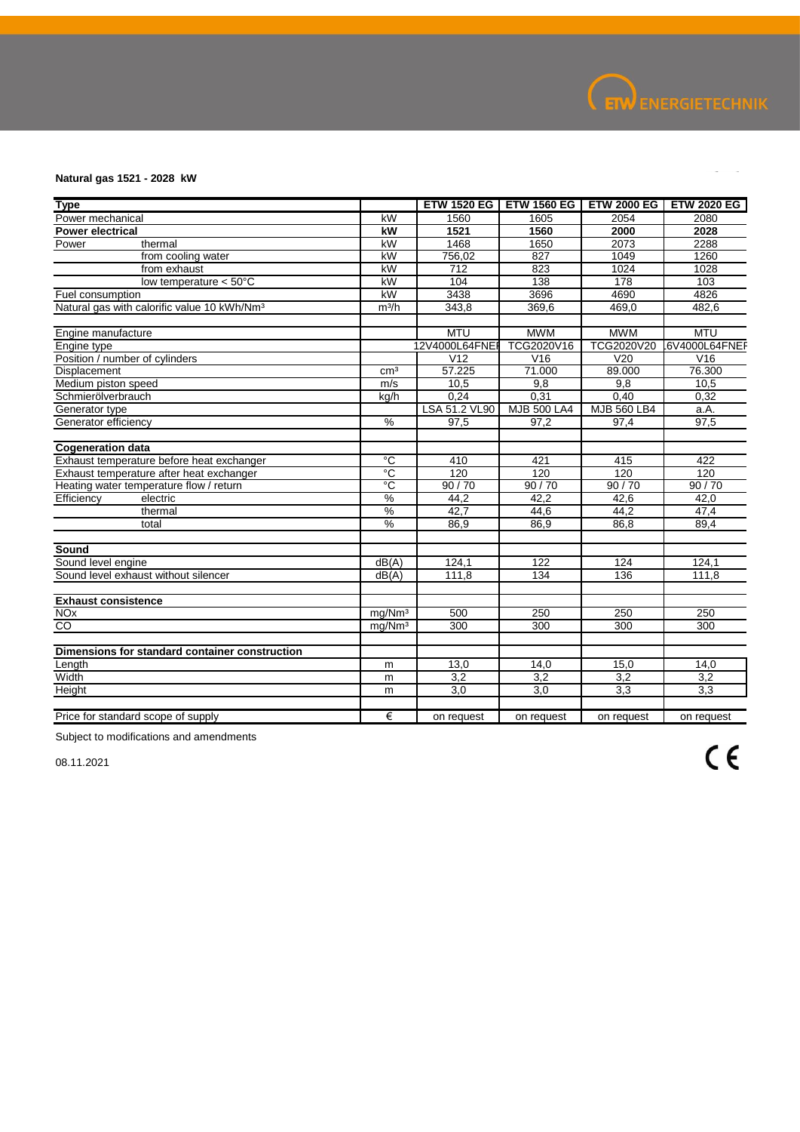

## **Natural gas 1521 - 2028 kW**

| <b>Type</b>                                             |                    |                  |                    |             | ETW 1520 EG   ETW 1560 EG   ETW 2000 EG   ETW 2020 EG |
|---------------------------------------------------------|--------------------|------------------|--------------------|-------------|-------------------------------------------------------|
| Power mechanical                                        | kW                 | 1560             | 1605               | 2054        | 2080                                                  |
| <b>Power electrical</b>                                 | kW                 | 1521             | 1560               | 2000        | 2028                                                  |
| Power<br>thermal                                        | kW                 | 1468             | 1650               | 2073        | 2288                                                  |
| from cooling water                                      | kW                 | 756,02           | 827                | 1049        | 1260                                                  |
| from exhaust                                            | kW                 | $\overline{712}$ | 823                | 1024        | 1028                                                  |
| low temperature $< 50^{\circ}$ C                        | kW                 | 104              | 138                | 178         | 103                                                   |
| Fuel consumption                                        | kW                 | 3438             | 3696               | 4690        | 4826                                                  |
| Natural gas with calorific value 10 kWh/Nm <sup>3</sup> | m <sup>3</sup> /h  | 343,8            | 369,6              | 469,0       | 482,6                                                 |
|                                                         |                    |                  |                    |             |                                                       |
| Engine manufacture                                      |                    | <b>MTU</b>       | <b>MWM</b>         | <b>MWM</b>  | <b>MTU</b>                                            |
| Engine type                                             |                    | 12V4000L64FNE    | TCG2020V16         | TCG2020V20  | 6V4000L64FNEF                                         |
| Position / number of cylinders                          |                    | V <sub>12</sub>  | V16                | V20         | V16                                                   |
| Displacement                                            | cm <sup>3</sup>    | 57.225           | 71.000             | 89.000      | 76.300                                                |
| Medium piston speed                                     | m/s                | 10,5             | 9.8                | 9.8         | 10,5                                                  |
| Schmierölverbrauch                                      | kg/h               | 0,24             | 0,31               | 0,40        | 0,32                                                  |
| Generator type                                          | $\%$               | LSA 51.2 VL90    | <b>MJB 500 LA4</b> | MJB 560 LB4 | a.A.                                                  |
| Generator efficiency                                    |                    | 97,5             | 97,2               | 97,4        | 97,5                                                  |
| <b>Cogeneration data</b>                                |                    |                  |                    |             |                                                       |
| Exhaust temperature before heat exchanger               | $\overline{c}$     | 410              | 421                | 415         | 422                                                   |
| Exhaust temperature after heat exchanger                | ℃°                 | 120              | 120                | 120         | 120                                                   |
| Heating water temperature flow / return                 | $\overline{C}$     | 90/70            | 90/70              | 90/70       | 90/70                                                 |
| Efficiency<br>electric                                  | $\frac{9}{6}$      | 44,2             | 42,2               | 42,6        | 42,0                                                  |
| thermal                                                 | %                  | 42.7             | 44,6               | 44,2        | 47,4                                                  |
| total                                                   | $\frac{9}{6}$      | 86,9             | 86,9               | 86,8        | 89,4                                                  |
| Sound                                                   |                    |                  |                    |             |                                                       |
| Sound level engine                                      | dB(A)              | 124,1            | 122                | 124         | 124,1                                                 |
| Sound level exhaust without silencer                    | dB(A)              | 111,8            | 134                | 136         | 111,8                                                 |
|                                                         |                    |                  |                    |             |                                                       |
| <b>Exhaust consistence</b>                              |                    |                  |                    |             |                                                       |
| <b>NO<sub>x</sub></b>                                   | mg/Mm <sup>3</sup> | 500              | 250                | 250         | 250                                                   |
| CO                                                      | mg/Nm <sup>3</sup> | 300              | 300                | 300         | 300                                                   |
| Dimensions for standard container construction          |                    |                  |                    |             |                                                       |
| Length                                                  | m                  | 13,0             | 14,0               | 15,0        | 14,0                                                  |
| Width                                                   | m                  | 3,2              | 3.2                | 3.2         | 3,2                                                   |
| Height                                                  | m                  | 3,0              | 3,0                | 3,3         | 3,3                                                   |
|                                                         |                    |                  |                    |             |                                                       |
| Price for standard scope of supply                      | €                  | on request       | on request         | on request  | on request                                            |

Subject to modifications and amendments